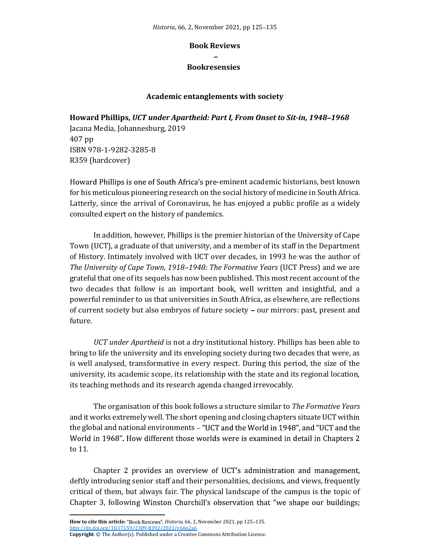## Book Reviews

## Bookresensies\*

## Academic entanglements with society

Howard Phillips, UCT under Apartheid: Part I, From Onset to Sit-in, 1948-1968

Jacana Media, Johannesburg, 2019 407 pp ISBN 978-1-9282-3285-8 R359 (hardcover)

Howard Phillips is one of South Africa's pre-eminent academic historians, best known for his meticulous pioneering research on the social history of medicine in South Africa. Latterly, since the arrival of Coronavirus, he has enjoyed a public profile as a widely consulted expert on the history of pandemics.

In addition, however, Phillips is the premier historian of the University of Cape Town (UCT), a graduate of that university, and a member of its staff in the Department of History. Intimately involved with UCT over decades, in 1993 he was the author of The University of Cape Town, 1918–1948: The Formative Years (UCT Press) and we are grateful that one of its sequels has now been published. This most recent account of the two decades that follow is an important book, well written and insightful, and a powerful reminder to us that universities in South Africa, as elsewhere, are reflections of current society but also embryos of future society – our mirrors: past, present and future.

UCT under Apartheid is not a dry institutional history. Phillips has been able to bring to life the university and its enveloping society during two decades that were, as is well analysed, transformative in every respect. During this period, the size of the university, its academic scope, its relationship with the state and its regional location, its teaching methods and its research agenda changed irrevocably.

The organisation of this book follows a structure similar to The Formative Years and it works extremely well. The short opening and closing chapters situate UCT within the global and national environments – "UCT and the World in 1948", and "UCT and the World in 1968". How different those worlds were is examined in detail in Chapters 2 to 11.

Chapter 2 provides an overview of UCT's administration and management, deftly introducing senior staff and their personalities, decisions, and views, frequently critical of them, but always fair. The physical landscape of the campus is the topic of Chapter 3, following Winston Churchill's observation that "we shape our buildings;

How to cite this article: "Book Reviews", Historia, 66, 2, November 2021, pp 125-135. http://dx.doi.org/10.17159/2309-8392/2021/v66n2a6

Copyright: © The Author(s). Published under a Creative Commons Attribution Licence.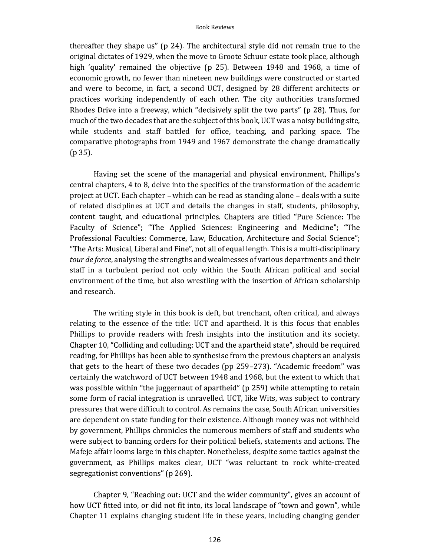## Book Reviews

thereafter they shape us" (p 24). The architectural style did not remain true to the original dictates of 1929, when the move to Groote Schuur estate took place, although high 'quality' remained the objective (p 25). Between 1948 and 1968, a time of economic growth, no fewer than nineteen new buildings were constructed or started and were to become, in fact, a second UCT, designed by 28 different architects or practices working independently of each other. The city authorities transformed Rhodes Drive into a freeway, which "decisively split the two parts" (p 28). Thus, for much of the two decades that are the subject of this book, UCT was a noisy building site, while students and staff battled for office, teaching, and parking space. The comparative photographs from 1949 and 1967 demonstrate the change dramatically (p 35).

Having set the scene of the managerial and physical environment, Phillips's central chapters, 4 to 8, delve into the specifics of the transformation of the academic project at UCT. Each chapter – which can be read as standing alone – deals with a suite of related disciplines at UCT and details the changes in staff, students, philosophy, content taught, and educational principles. Chapters are titled "Pure Science: The Faculty of Science"; "The Applied Sciences: Engineering and Medicine"; "The Professional Faculties: Commerce, Law, Education, Architecture and Social Science"; "The Arts: Musical, Liberal and Fine", not all of equal length. This is a multi-disciplinary tour de force, analysing the strengths and weaknesses of various departments and their staff in a turbulent period not only within the South African political and social environment of the time, but also wrestling with the insertion of African scholarship and research.

The writing style in this book is deft, but trenchant, often critical, and always relating to the essence of the title: UCT and apartheid. It is this focus that enables Phillips to provide readers with fresh insights into the institution and its society. Chapter 10, "Colliding and colluding: UCT and the apartheid state", should be required reading, for Phillips has been able to synthesise from the previous chapters an analysis that gets to the heart of these two decades (pp 259-273). "Academic freedom" was certainly the watchword of UCT between 1948 and 1968, but the extent to which that was possible within "the juggernaut of apartheid" (p 259) while attempting to retain some form of racial integration is unravelled. UCT, like Wits, was subject to contrary pressures that were difficult to control. As remains the case, South African universities are dependent on state funding for their existence. Although money was not withheld by government, Phillips chronicles the numerous members of staff and students who were subject to banning orders for their political beliefs, statements and actions. The Mafeje affair looms large in this chapter. Nonetheless, despite some tactics against the government, as Phillips makes clear, UCT "was reluctant to rock white-created segregationist conventions" (p 269).

Chapter 9, "Reaching out: UCT and the wider community", gives an account of how UCT fitted into, or did not fit into, its local landscape of "town and gown", while Chapter 11 explains changing student life in these years, including changing gender